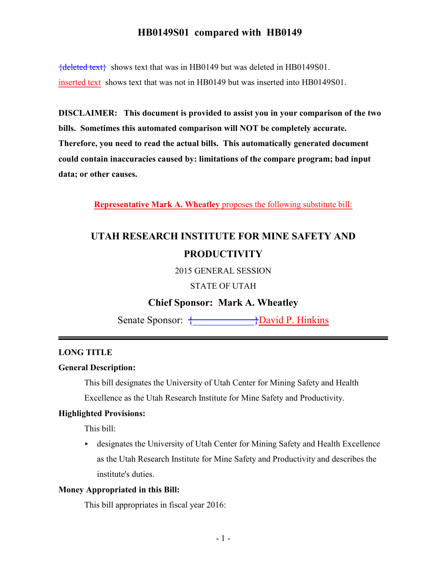${deleted text}$  shows text that was in HB0149 but was deleted in HB0149S01. inserted text shows text that was not in HB0149 but was inserted into HB0149S01.

**DISCLAIMER: This document is provided to assist you in your comparison of the two bills. Sometimes this automated comparison will NOT be completely accurate. Therefore, you need to read the actual bills. This automatically generated document could contain inaccuracies caused by: limitations of the compare program; bad input data; or other causes.**

**Representative Mark A. Wheatley** proposes the following substitute bill:

# **UTAH RESEARCH INSTITUTE FOR MINE SAFETY AND PRODUCTIVITY**

2015 GENERAL SESSION

STATE OF UTAH

### **Chief Sponsor: Mark A. Wheatley**

Senate Sponsor:  $\longleftarrow$  David P. Hinkins

#### **LONG TITLE**

### **General Description:**

This bill designates the University of Utah Center for Mining Safety and Health

Excellence as the Utah Research Institute for Mine Safety and Productivity.

### **Highlighted Provisions:**

This bill:

 $\rightarrow$  designates the University of Utah Center for Mining Safety and Health Excellence as the Utah Research Institute for Mine Safety and Productivity and describes the institute's duties.

#### **Money Appropriated in this Bill:**

This bill appropriates in fiscal year 2016: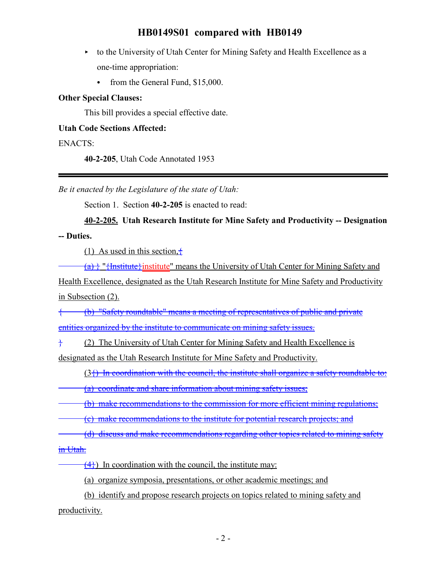- $\rightarrow$  to the University of Utah Center for Mining Safety and Health Excellence as a one-time appropriation:
	- from the General Fund,  $$15,000$ .

### **Other Special Clauses:**

This bill provides a special effective date.

## **Utah Code Sections Affected:**

ENACTS:

**40-2-205**, Utah Code Annotated 1953

*Be it enacted by the Legislature of the state of Utah:*

Section 1. Section **40-2-205** is enacted to read:

**40-2-205. Utah Research Institute for Mine Safety and Productivity -- Designation -- Duties.**

(1) As used in this section,  $\frac{1}{2}$ 

 $(a)$   $\}$  "<del>{Institute}</del> institute" means the University of Utah Center for Mining Safety and

Health Excellence, designated as the Utah Research Institute for Mine Safety and Productivity in Subsection (2).

{ (b) "Safety roundtable" means a meeting of representatives of public and private entities organized by the institute to communicate on mining safety issues.

 $\frac{1}{2}$  (2) The University of Utah Center for Mining Safety and Health Excellence is designated as the Utah Research Institute for Mine Safety and Productivity.

 $(3\hat{)}$  In coordination with the council, the institute shall organize a safety roundtable to:

(a) coordinate and share information about mining safety issues;

(b) make recommendations to the commission for more efficient mining regulations;

(c) make recommendations to the institute for potential research projects; and

(d) discuss and make recommendations regarding other topics related to mining safety

in Utah.

 $\left(\frac{4}{3}\right)$  In coordination with the council, the institute may:

(a) organize symposia, presentations, or other academic meetings; and

(b) identify and propose research projects on topics related to mining safety and productivity.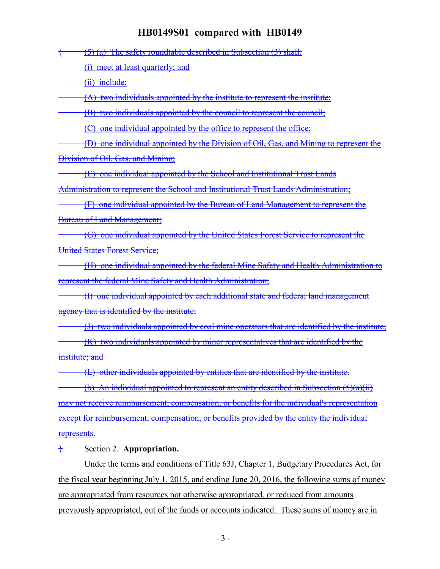$\leftarrow$  (5) (a) The safety roundtable described in Subsection (3) shall:

(i) meet at least quarterly; and

(ii) include:

(A) two individuals appointed by the institute to represent the institute;

(B) two individuals appointed by the council to represent the council;

(C) one individual appointed by the office to represent the office;

(D) one individual appointed by the Division of Oil, Gas, and Mining to represent the Division of Oil, Gas, and Mining;

(E) one individual appointed by the School and Institutional Trust Lands Administration to represent the School and Institutional Trust Lands Administration;

(F) one individual appointed by the Bureau of Land Management to represent the Bureau of Land Management;

(G) one individual appointed by the United States Forest Service to represent the United States Forest Service;

(H) one individual appointed by the federal Mine Safety and Health Administration to represent the federal Mine Safety and Health Administration;

(I) one individual appointed by each additional state and federal land management agency that is identified by the institute;

(J) two individuals appointed by coal mine operators that are identified by the institute; (K) two individuals appointed by miner representatives that are identified by the

institute; and

(L) other individuals appointed by entities that are identified by the institute.

(b) An individual appointed to represent an entity described in Subsection  $(5)(a)(ii)$ may not receive reimbursement, compensation, or benefits for the individual's representation except for reimbursement, compensation, or benefits provided by the entity the individual represents.

} Section 2. **Appropriation.**

Under the terms and conditions of Title 63J, Chapter 1, Budgetary Procedures Act, for the fiscal year beginning July 1, 2015, and ending June 20, 2016, the following sums of money are appropriated from resources not otherwise appropriated, or reduced from amounts previously appropriated, out of the funds or accounts indicated. These sums of money are in